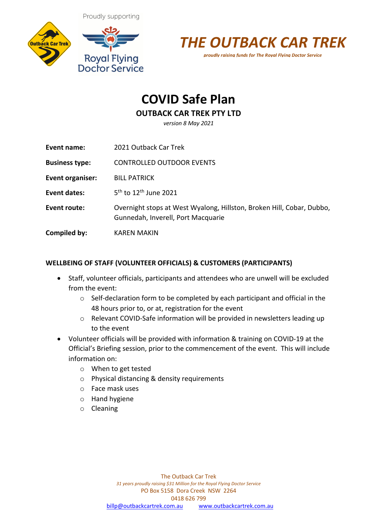Proudly supporting





# **COVID Safe Plan**

## **OUTBACK CAR TREK PTY LTD**

*version 8 May 2021*

| Event name:           | 2021 Outback Car Trek                                                                                       |
|-----------------------|-------------------------------------------------------------------------------------------------------------|
| <b>Business type:</b> | <b>CONTROLLED OUTDOOR EVENTS</b>                                                                            |
| Event organiser:      | <b>BILL PATRICK</b>                                                                                         |
| Event dates:          | $5^{th}$ to 12 <sup>th</sup> June 2021                                                                      |
| Event route:          | Overnight stops at West Wyalong, Hillston, Broken Hill, Cobar, Dubbo,<br>Gunnedah, Inverell, Port Macquarie |
| Compiled by:          | KAREN MAKIN                                                                                                 |

### **WELLBEING OF STAFF (VOLUNTEER OFFICIALS) & CUSTOMERS (PARTICIPANTS)**

- Staff, volunteer officials, participants and attendees who are unwell will be excluded from the event:
	- o Self-declaration form to be completed by each participant and official in the 48 hours prior to, or at, registration for the event
	- o Relevant COVID-Safe information will be provided in newsletters leading up to the event
- Volunteer officials will be provided with information & training on COVID-19 at the Official's Briefing session, prior to the commencement of the event. This will include information on:
	- o When to get tested
	- o Physical distancing & density requirements
	- o Face mask uses
	- o Hand hygiene
	- o Cleaning